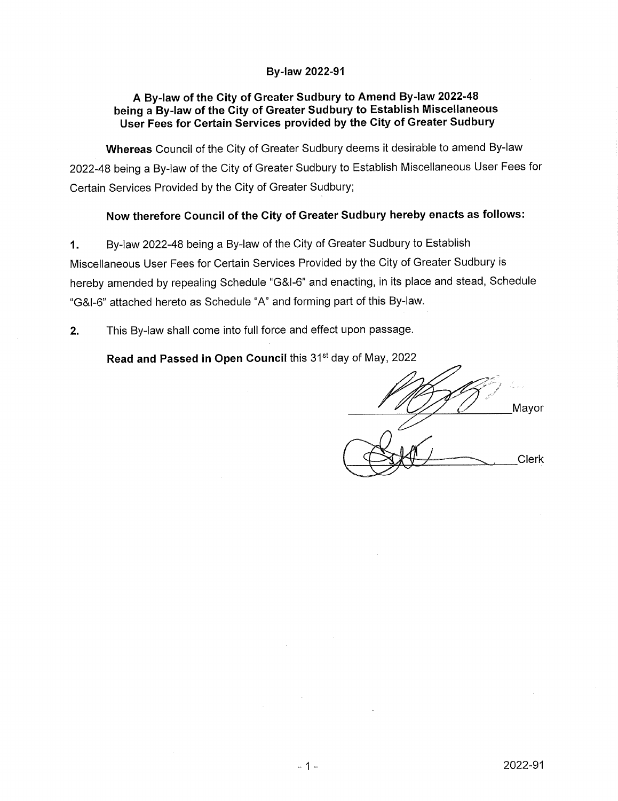### **By-law 2022-91**

### **A By-law of the City of Greater Sudbury to Amend By-law 2022-48 being a By-law of the City of Greater Sudbury to Establish Miscellaneous User Fees for Certain Services provided by the City of Greater Sudbury**

**Whereas** Council of the City of Greater Sudbury deems it desirable to amend By-law 2022-48 being a By-law of the City of Greater Sudbury to Establish Miscellaneous User Fees for Certain Services Provided by the City of Greater Sudbury;

## **Now therefore Council of the City of Greater Sudbury hereby enacts as follows:**

1. By-law 2022-48 being a By-law of the City of Greater Sudbury to Establish Miscellaneous User Fees for Certain Services Provided by the City of Greater Sudbury is hereby amended by repealing Schedule "G&I-6" and enacting, in its place and stead, Schedule "G&I-6" attached hereto as Schedule "A" and forming part of this By-law.

**2.** This By-law shall come into full force and effect upon passage.

**Read and Passed in Open Council** this 31st day of May, 2022

Mayor **Clerk**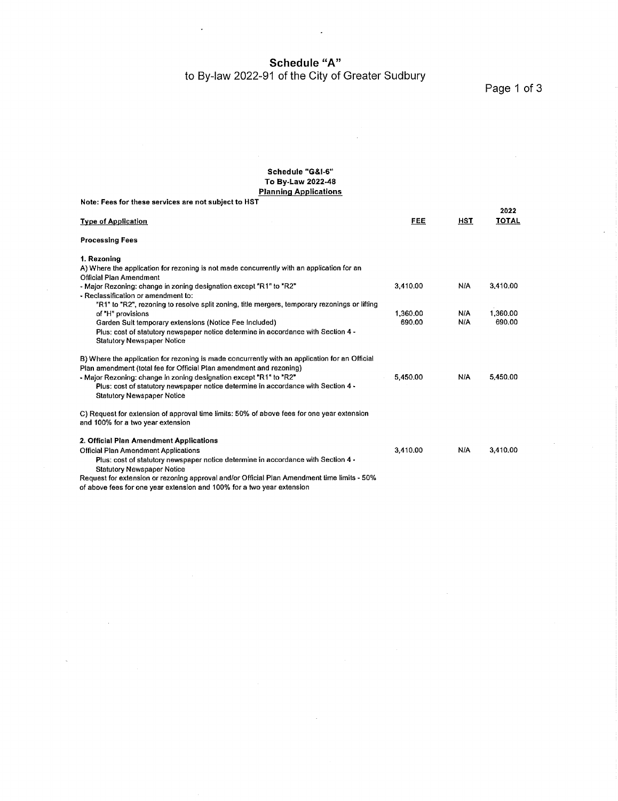**Schedule "A"**

to By-law 2022-91 of the City of Greater Sudbury

Page <sup>1</sup> of 3

#### **Schedule "G&I-6" To By-Law 2022-48 Planning Applications**

| Note: Fees for these services are not subject to HST                                                                            |          |            | 2022         |
|---------------------------------------------------------------------------------------------------------------------------------|----------|------------|--------------|
| <b>Type of Application</b>                                                                                                      | FEE      | <b>HST</b> | <b>TOTAL</b> |
| <b>Processing Fees</b>                                                                                                          |          |            |              |
| 1. Rezoning                                                                                                                     |          |            |              |
| A) Where the application for rezoning is not made concurrently with an application for an                                       |          |            |              |
| Official Plan Amendment                                                                                                         |          |            |              |
| - Major Rezoning: change in zoning designation except "R1" to "R2"                                                              | 3.410.00 | <b>N/A</b> | 3.410.00     |
| - Reclassification or amendment to:                                                                                             |          |            |              |
| "R1" to "R2", rezoning to resolve split zoning, title mergers, temporary rezonings or lifting                                   |          |            |              |
| of "H" provisions                                                                                                               | 1.360.00 | N/A        | 1.360.00     |
| Garden Suit temporary extensions (Notice Fee Included)                                                                          | 690.00   | N/A        | 690.00       |
| Plus: cost of statutory newspaper notice determine in accordance with Section 4 -<br><b>Statutory Newspaper Notice</b>          |          |            |              |
| B) Where the application for rezoning is made concurrently with an application for an Official                                  |          |            |              |
| Plan amendment (total fee for Official Plan amendment and rezoning)                                                             |          |            |              |
| - Major Rezoning: change in zoning designation except "R1" to "R2"                                                              | 5,450.00 | N/A        | 5.450.00     |
| Plus: cost of statutory newspaper notice determine in accordance with Section 4 -                                               |          |            |              |
| <b>Statutory Newspaper Notice</b>                                                                                               |          |            |              |
| C) Request for extension of approval time limits: 50% of above fees for one year extension<br>and 100% for a two year extension |          |            |              |
| 2. Official Plan Amendment Applications                                                                                         |          |            |              |
| Official Plan Amendment Applications                                                                                            | 3.410.00 | <b>N/A</b> | 3,410.00     |
| Plus: cost of statutory newspaper notice determine in accordance with Section 4 -                                               |          |            |              |
| <b>Statutory Newspaper Notice</b>                                                                                               |          |            |              |
| Request for extension or rezoning approval and/or Official Plan Amendment time limits - 50%                                     |          |            |              |
| of above fees for one year extension and 100% for a two year extension                                                          |          |            |              |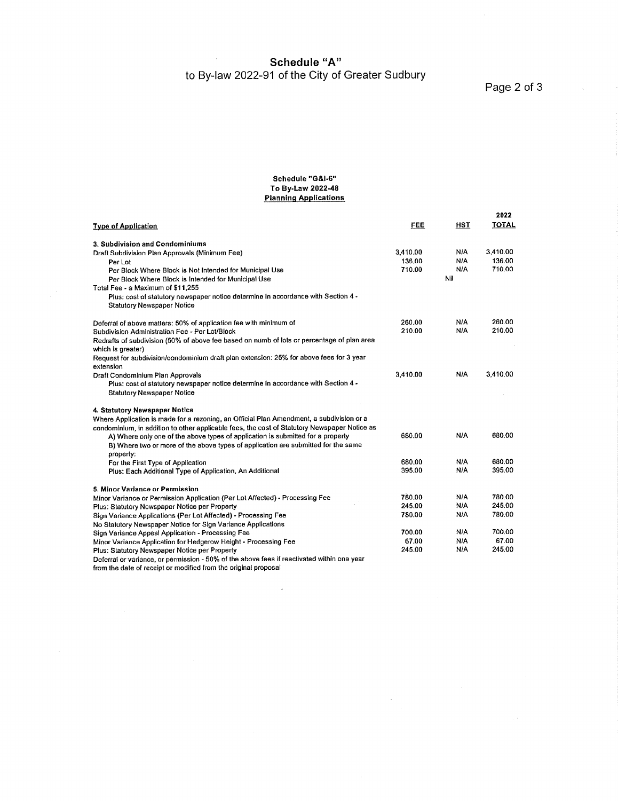**Schedule "A"** to By-law 2022-91 of the City of Greater Sudbury

Page 2 of 3

 $\chi$   $\chi$ 

#### **Schedule "G&I-6" To By-Law 2022-48 Planning Applications**

| <b>Type of Application</b>                                                                                             | FEE      | <b>HST</b> | 2022<br><b>TOTAL</b> |
|------------------------------------------------------------------------------------------------------------------------|----------|------------|----------------------|
| 3. Subdivision and Condominiums                                                                                        |          |            |                      |
| Draft Subdivision Plan Approvals (Minimum Fee)                                                                         | 3,410.00 | N/A        | 3,410.00             |
| Per Lot                                                                                                                | 136.00   | N/A        | 136.00               |
| Per Block Where Block is Not Intended for Municipal Use                                                                | 710.00   | N/A        | 710.00               |
| Per Block Where Block is Intended for Municipal Use                                                                    |          | Nil        |                      |
| Total Fee - a Maximum of \$11.255                                                                                      |          |            |                      |
| Plus: cost of statutory newspaper notice determine in accordance with Section 4 -<br><b>Statutory Newspaper Notice</b> |          |            |                      |
| Deferral of above matters: 50% of application fee with minimum of                                                      | 260.00   | NIA        | 260.00               |
| Subdivision Administration Fee - Per Lot/Block                                                                         | 210.00   | N/A        | 210.00               |
| Redrafts of subdivision (50% of above fee based on numb of lots or percentage of plan area<br>which is greater)        |          |            |                      |
| Request for subdivision/condominium draft plan extension: 25% for above fees for 3 year<br>extension                   |          |            |                      |
| Draft Condominium Plan Approvals                                                                                       | 3.410.00 | N/A        | 3,410.00             |
| Plus: cost of statutory newspaper notice determine in accordance with Section 4 -                                      |          |            |                      |
| <b>Statutory Newspaper Notice</b>                                                                                      |          |            |                      |
| 4. Statutory Newspaper Notice                                                                                          |          |            |                      |
| Where Application is made for a rezoning, an Official Plan Amendment, a subdivision or a                               |          |            |                      |
| condominium, in addition to other applicable fees, the cost of Statutory Newspaper Notice as                           |          |            |                      |
| A) Where only one of the above types of application is submitted for a property                                        | 680.00   | <b>NIA</b> | 680.00               |
| B) Where two or more of the above types of application are submitted for the same<br>property:                         |          |            |                      |
| For the First Type of Application                                                                                      | 680.00   | N/A        | 680.00               |
| Plus: Each Additional Type of Application, An Additional                                                               | 395.00   | N/A        | 395.00               |
| 5. Minor Variance or Permission                                                                                        |          |            |                      |
| Minor Variance or Permission Application (Per Lot Affected) - Processing Fee                                           | 780.00   | <b>N/A</b> | 780.00               |
| Plus: Statutory Newspaper Notice per Property                                                                          | 245.00   | N/A        | 245.00               |
| Sign Variance Applications (Per Lot Affected) - Processing Fee                                                         | 780.00   | NIA        | 780.00               |
| No Statutory Newspaper Notice for Sign Variance Applications                                                           |          |            |                      |
| Sign Variance Appeal Application - Processing Fee                                                                      | 700.00   | N/A        | 700.00               |
| Minor Variance Application for Hedgerow Height - Processing Fee                                                        | 67.00    | N/A        | 67.00                |
| Plus: Statutory Newspaper Notice per Property                                                                          | 245.00   | N/A        | 245.00               |
| Deferral or variance, or permission - 50% of the above fees if reactivated within one year                             |          |            |                      |

 $\cdot$ 

 $\bar{z}$ 

from the date of receipt or modified from the original proposal

 $\bar{\lambda}$